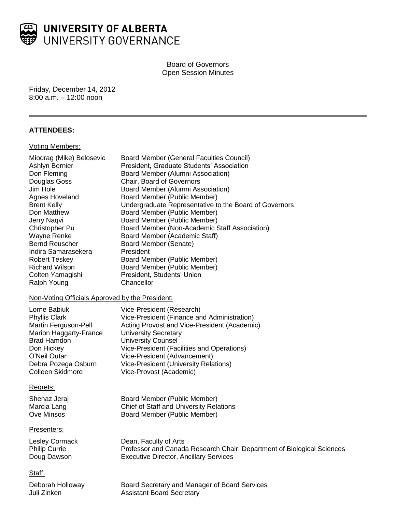

# Board of Governors Open Session Minutes

Friday, December 14, 2012 8:00 a.m. – 12:00 noon

# **ATTENDEES:**

### Voting Members:

| Miodrag (Mike) Belosevic                        | <b>Board Member (General Faculties Council)</b>                        |
|-------------------------------------------------|------------------------------------------------------------------------|
| Ashlyn Bernier                                  | President, Graduate Students' Association                              |
| Don Fleming                                     | Board Member (Alumni Association)                                      |
| Douglas Goss                                    | Chair, Board of Governors                                              |
| Jim Hole                                        | Board Member (Alumni Association)                                      |
| Agnes Hoveland                                  | Board Member (Public Member)                                           |
| <b>Brent Kelly</b>                              | Undergraduate Representative to the Board of Governors                 |
| Don Matthew                                     | Board Member (Public Member)                                           |
| Jerry Naqvi                                     | Board Member (Public Member)                                           |
| Christopher Pu                                  | Board Member (Non-Academic Staff Association)                          |
| Wayne Renke                                     | Board Member (Academic Staff)                                          |
| <b>Bernd Reuscher</b>                           | Board Member (Senate)                                                  |
| Indira Samarasekera                             | President                                                              |
| <b>Robert Teskey</b>                            | Board Member (Public Member)                                           |
| <b>Richard Wilson</b>                           | Board Member (Public Member)                                           |
| Colten Yamagishi                                | President, Students' Union                                             |
| Ralph Young                                     | Chancellor                                                             |
| Non-Voting Officials Approved by the President: |                                                                        |
| Lorne Babiuk                                    | Vice-President (Research)                                              |
| <b>Phyllis Clark</b>                            | Vice-President (Finance and Administration)                            |
| Martin Ferguson-Pell                            | Acting Provost and Vice-President (Academic)                           |
| Marion Haggarty-France                          | <b>University Secretary</b>                                            |
| <b>Brad Hamdon</b>                              | <b>University Counsel</b>                                              |
| Don Hickey                                      | Vice-President (Facilities and Operations)                             |
| O'Neil Outar                                    | Vice-President (Advancement)                                           |
| Debra Pozega Osburn                             | Vice-President (University Relations)                                  |
| <b>Colleen Skidmore</b>                         | Vice-Provost (Academic)                                                |
| Regrets:                                        |                                                                        |
| Shenaz Jeraj                                    | Board Member (Public Member)                                           |
| Marcia Lang                                     | Chief of Staff and University Relations                                |
| <b>Ove Minsos</b>                               | Board Member (Public Member)                                           |
| Presenters:                                     |                                                                        |
| <b>Lesley Cormack</b>                           | Dean, Faculty of Arts                                                  |
| <b>Philip Currie</b>                            | Professor and Canada Research Chair, Department of Biological Sciences |
| Doug Dawson                                     | <b>Executive Director, Ancillary Services</b>                          |
| Staff:                                          |                                                                        |
| Deborah Holloway                                | Board Secretary and Manager of Board Services                          |
| Juli Zinken                                     | <b>Assistant Board Secretary</b>                                       |
|                                                 |                                                                        |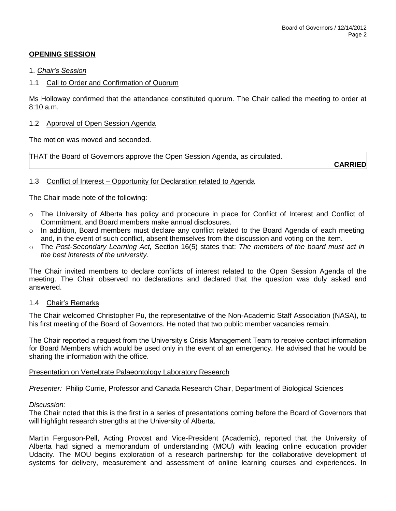# **OPENING SESSION**

## 1. *Chair's Session*

# 1.1 Call to Order and Confirmation of Quorum

Ms Holloway confirmed that the attendance constituted quorum. The Chair called the meeting to order at 8:10 a.m.

## 1.2 Approval of Open Session Agenda

The motion was moved and seconded.

THAT the Board of Governors approve the Open Session Agenda, as circulated.

**CARRIED**

# 1.3 Conflict of Interest – Opportunity for Declaration related to Agenda

The Chair made note of the following:

- o The University of Alberta has policy and procedure in place for Conflict of Interest and Conflict of Commitment, and Board members make annual disclosures.
- o In addition, Board members must declare any conflict related to the Board Agenda of each meeting and, in the event of such conflict, absent themselves from the discussion and voting on the item.
- o The *Post-Secondary Learning Act,* Section 16(5) states that: *The members of the board must act in the best interests of the university.*

The Chair invited members to declare conflicts of interest related to the Open Session Agenda of the meeting. The Chair observed no declarations and declared that the question was duly asked and answered.

## 1.4 Chair's Remarks

The Chair welcomed Christopher Pu, the representative of the Non-Academic Staff Association (NASA), to his first meeting of the Board of Governors. He noted that two public member vacancies remain.

The Chair reported a request from the University's Crisis Management Team to receive contact information for Board Members which would be used only in the event of an emergency. He advised that he would be sharing the information with the office.

## Presentation on Vertebrate Palaeontology Laboratory Research

*Presenter:* Philip Currie, Professor and Canada Research Chair, Department of Biological Sciences

## *Discussion:*

The Chair noted that this is the first in a series of presentations coming before the Board of Governors that will highlight research strengths at the University of Alberta.

Martin Ferguson-Pell, Acting Provost and Vice-President (Academic), reported that the University of Alberta had signed a memorandum of understanding (MOU) with leading online education provider Udacity. The MOU begins exploration of a research partnership for the collaborative development of systems for delivery, measurement and assessment of online learning courses and experiences. In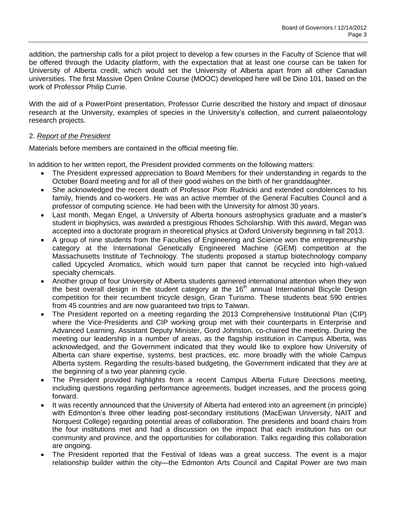addition, the partnership calls for a pilot project to develop a few courses in the [Faculty of Science](http://www.science.ualberta.ca/) that will be offered through the Udacity platform, with the expectation that at least one course can be taken for University of Alberta credit, which would set the University of Alberta apart from all other Canadian universities. The first Massive Open Online Course (MOOC) developed here will be Dino 101, based on the work of Professor Philip Currie.

With the aid of a PowerPoint presentation, Professor Currie described the history and impact of dinosaur research at the University, examples of species in the University's collection, and current palaeontology research projects.

# 2. *Report of the President*

Materials before members are contained in the official meeting file.

In addition to her written report, the President provided comments on the following matters:

- The President expressed appreciation to Board Members for their understanding in regards to the October Board meeting and for all of their good wishes on the birth of her granddaughter.
- She acknowledged the recent death of Professor Piotr Rudnicki and extended condolences to his family, friends and co-workers. He was an active member of the General Faculties Council and a professor of computing science. He had been with the University for almost 30 years.
- Last month, Megan Engel, a University of Alberta honours astrophysics graduate and a master's student in biophysics, was awarded a prestigious Rhodes Scholarship. With this award, Megan was accepted into a doctorate program in theoretical physics at Oxford University beginning in fall 2013.
- A group of nine students from the Faculties of Engineering and Science won the entrepreneurship category at the International Genetically Engineered Machine (iGEM) competition at the Massachusetts Institute of Technology. The students proposed a startup biotechnology company called Upcycled Aromatics, which would turn paper that cannot be recycled into high-valued specialty chemicals.
- Another group of four University of Alberta students garnered international attention when they won the best overall design in the student category at the 16<sup>th</sup> annual International Bicycle Design competition for their recumbent tricycle design, Gran Turismo. These students beat 590 entries from 45 countries and are now guaranteed two trips to Taiwan.
- The President reported on a meeting regarding the 2013 Comprehensive Institutional Plan (CIP) where the Vice-Presidents and CIP working group met with their counterparts in Enterprise and Advanced Learning. Assistant Deputy Minister, Gord Johnston, co-chaired the meeting. During the meeting our leadership in a number of areas, as the flagship institution in Campus Alberta, was acknowledged, and the Government indicated that they would like to explore how University of Alberta can share expertise, systems, best practices, etc. more broadly with the whole Campus Alberta system. Regarding the results-based budgeting, the Government indicated that they are at the beginning of a two year planning cycle.
- The President provided highlights from a recent Campus Alberta Future Directions meeting, including questions regarding performance agreements, budget increases, and the process going forward.
- It was recently announced that the University of Alberta had entered into an agreement (in principle) with Edmonton's three other leading post-secondary institutions (MacEwan University, NAIT and Norquest College) regarding potential areas of collaboration. The presidents and board chairs from the four institutions met and had a discussion on the impact that each institution has on our community and province, and the opportunities for collaboration. Talks regarding this collaboration are ongoing.
- The President reported that the Festival of Ideas was a great success. The event is a major relationship builder within the city—the Edmonton Arts Council and Capital Power are two main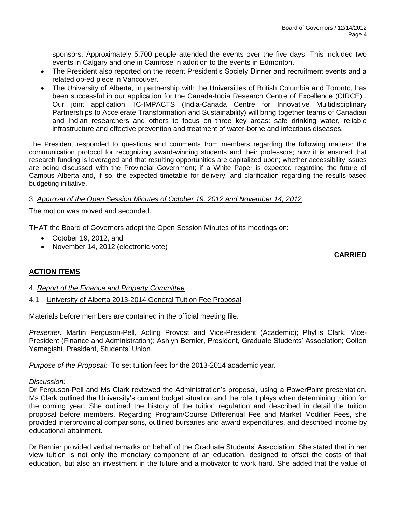sponsors. Approximately 5,700 people attended the events over the five days. This included two events in Calgary and one in Camrose in addition to the events in Edmonton.

- The President also reported on the recent President's Society Dinner and recruitment events and a related op-ed piece in Vancouver.
- The University of Alberta, in partnership with the Universities of British Columbia and Toronto, has been successful in our application for the Canada-India Research Centre of Excellence (CIRCE) . Our joint application, IC-IMPACTS (India-Canada Centre for Innovative Multidisciplinary Partnerships to Accelerate Transformation and Sustainability) will bring together teams of Canadian and Indian researchers and others to focus on three key areas: safe drinking water, reliable infrastructure and effective prevention and treatment of water-borne and infectious diseases.

The President responded to questions and comments from members regarding the following matters: the communication protocol for recognizing award-winning students and their professors; how it is ensured that research funding is leveraged and that resulting opportunities are capitalized upon; whether accessibility issues are being discussed with the Provincial Government; if a White Paper is expected regarding the future of Campus Alberta and, if so, the expected timetable for delivery; and clarification regarding the results-based budgeting initiative.

## 3. *Approval of the Open Session Minutes of October 19, 2012 and November 14, 2012*

The motion was moved and seconded.

THAT the Board of Governors adopt the Open Session Minutes of its meetings on:

- October 19, 2012, and
- November 14, 2012 (electronic vote)

**CARRIED**

# **ACTION ITEMS**

- 4. *Report of the Finance and Property Committee*
- 4.1 University of Alberta 2013-2014 General Tuition Fee Proposal

Materials before members are contained in the official meeting file.

*Presenter:* Martin Ferguson-Pell, Acting Provost and Vice-President (Academic); Phyllis Clark, Vice-President (Finance and Administration); Ashlyn Bernier, President, Graduate Students' Association; Colten Yamagishi, President, Students' Union.

*Purpose of the Proposal:* To set tuition fees for the 2013-2014 academic year.

## *Discussion:*

Dr Ferguson-Pell and Ms Clark reviewed the Administration's proposal, using a PowerPoint presentation. Ms Clark outlined the University's current budget situation and the role it plays when determining tuition for the coming year. She outlined the history of the tuition regulation and described in detail the tuition proposal before members. Regarding Program/Course Differential Fee and Market Modifier Fees, she provided interprovincial comparisons, outlined bursaries and award expenditures, and described income by educational attainment.

Dr Bernier provided verbal remarks on behalf of the Graduate Students' Association. She stated that in her view tuition is not only the monetary component of an education, designed to offset the costs of that education, but also an investment in the future and a motivator to work hard. She added that the value of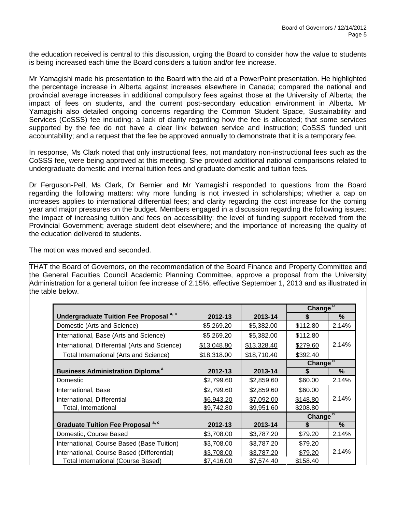the education received is central to this discussion, urging the Board to consider how the value to students is being increased each time the Board considers a tuition and/or fee increase.

Mr Yamagishi made his presentation to the Board with the aid of a PowerPoint presentation. He highlighted the percentage increase in Alberta against increases elsewhere in Canada; compared the national and provincial average increases in additional compulsory fees against those at the University of Alberta; the impact of fees on students, and the current post-secondary education environment in Alberta. Mr Yamagishi also detailed ongoing concerns regarding the Common Student Space, Sustainability and Services (CoSSS) fee including: a lack of clarity regarding how the fee is allocated; that some services supported by the fee do not have a clear link between service and instruction; CoSSS funded unit accountability; and a request that the fee be approved annually to demonstrate that it is a temporary fee.

In response, Ms Clark noted that only instructional fees, not mandatory non-instructional fees such as the CoSSS fee, were being approved at this meeting. She provided additional national comparisons related to undergraduate domestic and internal tuition fees and graduate domestic and tuition fees.

Dr Ferguson-Pell, Ms Clark, Dr Bernier and Mr Yamagishi responded to questions from the Board regarding the following matters: why more funding is not invested in scholarships; whether a cap on increases applies to international differential fees; and clarity regarding the cost increase for the coming year and major pressures on the budget. Members engaged in a discussion regarding the following issues: the impact of increasing tuition and fees on accessibility; the level of funding support received from the Provincial Government; average student debt elsewhere; and the importance of increasing the quality of the education delivered to students.

The motion was moved and seconded.

THAT the Board of Governors, on the recommendation of the Board Finance and Property Committee and the General Faculties Council Academic Planning Committee, approve a proposal from the University Administration for a general tuition fee increase of 2.15%, effective September 1, 2013 and as illustrated in the table below.

|                                                    |             |             | Change <sup>b</sup> |       |
|----------------------------------------------------|-------------|-------------|---------------------|-------|
| Undergraduate Tuition Fee Proposal <sup>a, c</sup> | 2012-13     | 2013-14     | S                   | $\%$  |
| Domestic (Arts and Science)                        | \$5,269.20  | \$5,382.00  | \$112.80            | 2.14% |
| International, Base (Arts and Science)             | \$5,269.20  | \$5,382.00  | \$112.80            |       |
| International, Differential (Arts and Science)     | \$13,048.80 | \$13,328.40 | \$279.60            | 2.14% |
| <b>Total International (Arts and Science)</b>      | \$18,318.00 | \$18,710.40 | \$392.40            |       |
|                                                    |             |             | Change <sup>b</sup> |       |
| <b>Business Administration Diploma<sup>a</sup></b> | 2012-13     | 2013-14     | S                   | %     |
| Domestic                                           | \$2,799.60  | \$2,859.60  | \$60.00             | 2.14% |
| International, Base                                | \$2,799.60  | \$2,859.60  | \$60.00             |       |
| International, Differential                        | \$6,943.20  | \$7,092.00  | \$148.80            | 2.14% |
| Total, International                               | \$9,742.80  | \$9,951.60  | \$208.80            |       |
|                                                    |             |             | Change <sup>b</sup> |       |
| Graduate Tuition Fee Proposal <sup>a, c</sup>      | 2012-13     | 2013-14     | \$                  | $\%$  |
| Domestic, Course Based                             | \$3,708.00  | \$3,787.20  | \$79.20             | 2.14% |
| International, Course Based (Base Tuition)         | \$3,708.00  | \$3,787.20  | \$79.20             |       |
| International, Course Based (Differential)         | \$3,708.00  | \$3,787.20  | \$79.20             | 2.14% |
| <b>Total International (Course Based)</b>          | \$7,416.00  | \$7,574.40  | \$158.40            |       |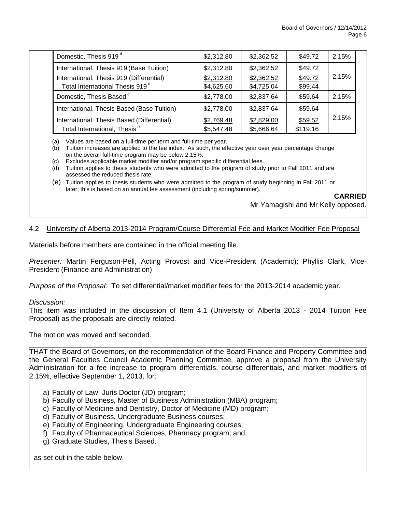| Domestic, Thesis 919 <sup>d</sup>                                                       | \$2,312.80               | \$2,362.52               | \$49.72            | 2.15% |
|-----------------------------------------------------------------------------------------|--------------------------|--------------------------|--------------------|-------|
| International, Thesis 919 (Base Tuition)                                                | \$2,312.80               | \$2,362.52               | \$49.72            |       |
| International, Thesis 919 (Differential)<br>Total International Thesis 919 <sup>d</sup> | \$2,312.80<br>\$4,625.60 | \$2,362.52<br>\$4,725.04 | \$49.72<br>\$99.44 | 2.15% |
| Domestic, Thesis Based <sup>e</sup>                                                     | \$2,778.00               | \$2,837.64               | \$59.64            | 2.15% |
| International, Thesis Based (Base Tuition)                                              | \$2,778.00               | \$2,837.64               | \$59.64            |       |
| International, Thesis Based (Differential)                                              | \$2,769.48               | \$2,829.00               | \$59.52            | 2.15% |
| Total International, Thesis <sup>e</sup>                                                | \$5,547.48               | \$5,666.64               | \$119.16           |       |

(a) Values are based on a full-time per term and full-time per year.

(b) Tuition increases are applied to the fee index. As such, the effective year over year percentage change on the overall full-time program may be below 2.15%.

(c) Excludes applicable market modifier and/or program specific differential fees.

(d) Tuition applies to thesis students who were admitted to the program of study prior to Fall 2011 and are assessed the reduced thesis rate.

(e) Tuition applies to thesis students who were admitted to the program of study beginning in Fall 2011 or later; this is based on an annual fee assessment (including spring/summer).

### **CARRIED**

Mr Yamagishi and Mr Kelly opposed.

## 4.2 University of Alberta 2013-2014 Program/Course Differential Fee and Market Modifier Fee Proposal

Materials before members are contained in the official meeting file.

*Presenter:* Martin Ferguson-Pell, Acting Provost and Vice-President (Academic); Phyllis Clark, Vice-President (Finance and Administration)

*Purpose of the Proposal:* To set differential/market modifier fees for the 2013-2014 academic year.

#### *Discussion:*

This item was included in the discussion of Item 4.1 (University of Alberta 2013 - 2014 Tuition Fee Proposal) as the proposals are directly related.

The motion was moved and seconded.

THAT the Board of Governors, on the recommendation of the Board Finance and Property Committee and the General Faculties Council Academic Planning Committee, approve a proposal from the University Administration for a fee increase to program differentials, course differentials, and market modifiers of 2.15%, effective September 1, 2013, for:

- a) Faculty of Law, Juris Doctor (JD) program;
- b) Faculty of Business, Master of Business Administration (MBA) program;
- c) Faculty of Medicine and Dentistry, Doctor of Medicine (MD) program;
- d) Faculty of Business, Undergraduate Business courses;
- e) Faculty of Engineering, Undergraduate Engineering courses;
- f) Faculty of Pharmaceutical Sciences, Pharmacy program; and,
- g) Graduate Studies, Thesis Based.

as set out in the table below.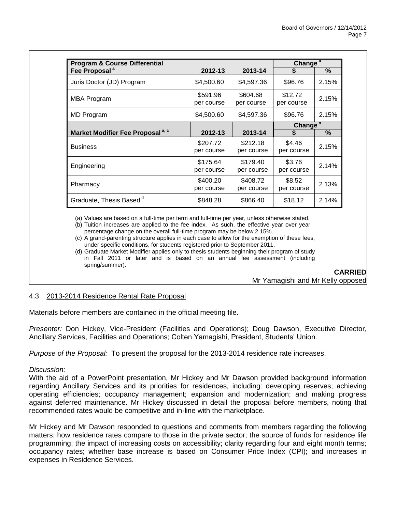| <b>Program &amp; Course Differential</b>     |                        |                        | Change <sup>b</sup>   |       |
|----------------------------------------------|------------------------|------------------------|-----------------------|-------|
| Fee Proposal <sup>a</sup>                    | 2012-13                | 2013-14                |                       | $\%$  |
| Juris Doctor (JD) Program                    | \$4,500.60             | \$4,597.36             | \$96.76               | 2.15% |
| MBA Program                                  | \$591.96<br>per course | \$604.68<br>per course | \$12.72<br>per course | 2.15% |
| MD Program                                   | \$4,500.60             | \$4,597.36             | \$96.76               | 2.15% |
|                                              |                        |                        | Change <sup>b</sup>   |       |
| Market Modifier Fee Proposal <sup>a, c</sup> | 2012-13                | 2013-14                |                       | $\%$  |
| <b>Business</b>                              | \$207.72<br>per course | \$212.18<br>per course | \$4.46<br>per course  | 2.15% |
| Engineering                                  | \$175.64<br>per course | \$179.40<br>per course | \$3.76<br>per course  | 2.14% |
| Pharmacy                                     | \$400.20<br>per course | \$408.72<br>per course | \$8.52<br>per course  | 2.13% |
| Graduate, Thesis Based <sup>d</sup>          | \$848.28               | \$866.40               | \$18.12               | 2.14% |

(a) Values are based on a full-time per term and full-time per year, unless otherwise stated.

(b) Tuition increases are applied to the fee index. As such, the effective year over year percentage change on the overall full-time program may be below 2.15%.

(c) A grand-parenting structure applies in each case to allow for the exemption of these fees, under specific conditions, for students registered prior to September 2011.

(d) Graduate Market Modifier applies only to thesis students beginning their program of study in Fall 2011 or later and is based on an annual fee assessment (including spring/summer).

**CARRIED**

Mr Yamagishi and Mr Kelly opposed

# 4.3 2013-2014 Residence Rental Rate Proposal

Materials before members are contained in the official meeting file.

*Presenter:* Don Hickey, Vice-President (Facilities and Operations); Doug Dawson, Executive Director, Ancillary Services, Facilities and Operations; Colten Yamagishi, President, Students' Union.

*Purpose of the Proposal:* To present the proposal for the 2013-2014 residence rate increases.

## *Discussion:*

With the aid of a PowerPoint presentation, Mr Hickey and Mr Dawson provided background information regarding Ancillary Services and its priorities for residences, including: developing reserves; achieving operating efficiencies; occupancy management; expansion and modernization; and making progress against deferred maintenance. Mr Hickey discussed in detail the proposal before members, noting that recommended rates would be competitive and in-line with the marketplace.

Mr Hickey and Mr Dawson responded to questions and comments from members regarding the following matters: how residence rates compare to those in the private sector; the source of funds for residence life programming; the impact of increasing costs on accessibility; clarity regarding four and eight month terms; occupancy rates; whether base increase is based on Consumer Price Index (CPI); and increases in expenses in Residence Services.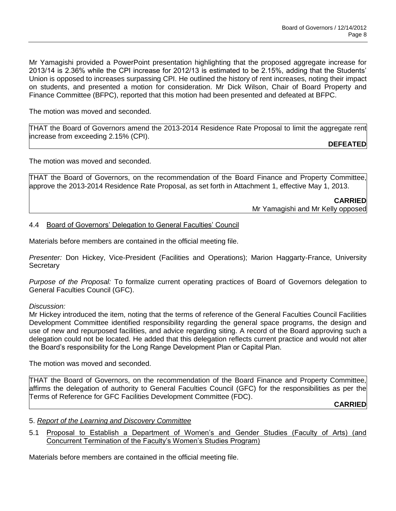Mr Yamagishi provided a PowerPoint presentation highlighting that the proposed aggregate increase for 2013/14 is 2.36% while the CPI increase for 2012/13 is estimated to be 2.15%, adding that the Students' Union is opposed to increases surpassing CPI. He outlined the history of rent increases, noting their impact on students, and presented a motion for consideration. Mr Dick Wilson, Chair of Board Property and Finance Committee (BFPC), reported that this motion had been presented and defeated at BFPC.

The motion was moved and seconded.

THAT the Board of Governors amend the 2013-2014 Residence Rate Proposal to limit the aggregate rent increase from exceeding 2.15% (CPI).

**DEFEATED**

The motion was moved and seconded.

THAT the Board of Governors, on the recommendation of the Board Finance and Property Committee, approve the 2013-2014 Residence Rate Proposal, as set forth in Attachment 1, effective May 1, 2013.

> **CARRIED** Mr Yamagishi and Mr Kelly opposed

4.4 Board of Governors' Delegation to General Faculties' Council

Materials before members are contained in the official meeting file.

*Presenter:* Don Hickey, Vice-President (Facilities and Operations); Marion Haggarty-France, University **Secretary** 

*Purpose of the Proposal:* To formalize current operating practices of Board of Governors delegation to General Faculties Council (GFC).

## *Discussion:*

Mr Hickey introduced the item, noting that the terms of reference of the General Faculties Council Facilities Development Committee identified responsibility regarding the general space programs, the design and use of new and repurposed facilities, and advice regarding siting. A record of the Board approving such a delegation could not be located. He added that this delegation reflects current practice and would not alter the Board's responsibility for the Long Range Development Plan or Capital Plan.

The motion was moved and seconded.

THAT the Board of Governors, on the recommendation of the Board Finance and Property Committee, affirms the delegation of authority to General Faculties Council (GFC) for the responsibilities as per the Terms of Reference for GFC Facilities Development Committee (FDC).

**CARRIED**

5. *Report of the Learning and Discovery Committee*

5.1 Proposal to Establish a Department of Women's and Gender Studies (Faculty of Arts) (and Concurrent Termination of the Faculty's Women's Studies Program)

Materials before members are contained in the official meeting file.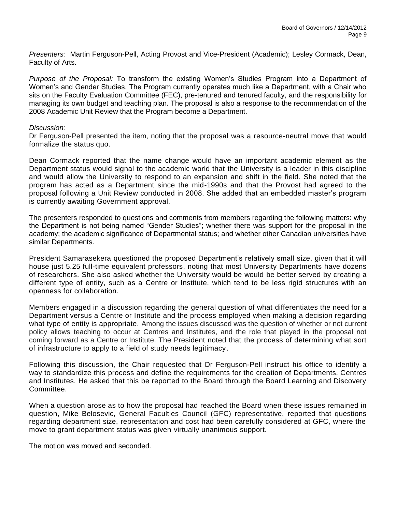*Presenters:* Martin Ferguson-Pell, Acting Provost and Vice-President (Academic); Lesley Cormack, Dean, Faculty of Arts.

*Purpose of the Proposal:* To transform the existing Women's Studies Program into a Department of Women's and Gender Studies. The Program currently operates much like a Department, with a Chair who sits on the Faculty Evaluation Committee (FEC), pre-tenured and tenured faculty, and the responsibility for managing its own budget and teaching plan. The proposal is also a response to the recommendation of the 2008 Academic Unit Review that the Program become a Department.

### *Discussion:*

Dr Ferguson-Pell presented the item, noting that the proposal was a resource-neutral move that would formalize the status quo.

Dean Cormack reported that the name change would have an important academic element as the Department status would signal to the academic world that the University is a leader in this discipline and would allow the University to respond to an expansion and shift in the field. She noted that the program has acted as a Department since the mid-1990s and that the Provost had agreed to the proposal following a Unit Review conducted in 2008. She added that an embedded master's program is currently awaiting Government approval.

The presenters responded to questions and comments from members regarding the following matters: why the Department is not being named "Gender Studies"; whether there was support for the proposal in the academy; the academic significance of Departmental status; and whether other Canadian universities have similar Departments.

President Samarasekera questioned the proposed Department's relatively small size, given that it will house just 5.25 full-time equivalent professors, noting that most University Departments have dozens of researchers. She also asked whether the University would be would be better served by creating a different type of entity, such as a Centre or Institute, which tend to be less rigid structures with an openness for collaboration.

Members engaged in a discussion regarding the general question of what differentiates the need for a Department versus a Centre or Institute and the process employed when making a decision regarding what type of entity is appropriate. Among the issues discussed was the question of whether or not current policy allows teaching to occur at Centres and Institutes, and the role that played in the proposal not coming forward as a Centre or Institute. The President noted that the process of determining what sort of infrastructure to apply to a field of study needs legitimacy.

Following this discussion, the Chair requested that Dr Ferguson-Pell instruct his office to identify a way to standardize this process and define the requirements for the creation of Departments, Centres and Institutes. He asked that this be reported to the Board through the Board Learning and Discovery Committee.

When a question arose as to how the proposal had reached the Board when these issues remained in question, Mike Belosevic, General Faculties Council (GFC) representative, reported that questions regarding department size, representation and cost had been carefully considered at GFC, where the move to grant department status was given virtually unanimous support.

The motion was moved and seconded.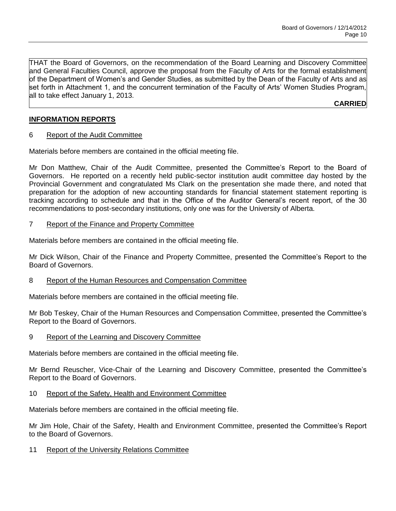THAT the Board of Governors, on the recommendation of the Board Learning and Discovery Committee and General Faculties Council, approve the proposal from the Faculty of Arts for the formal establishment of the Department of Women's and Gender Studies, as submitted by the Dean of the Faculty of Arts and as set forth in Attachment 1, and the concurrent termination of the Faculty of Arts' Women Studies Program, all to take effect January 1, 2013.

**CARRIED**

# **INFORMATION REPORTS**

6 Report of the Audit Committee

Materials before members are contained in the official meeting file.

Mr Don Matthew, Chair of the Audit Committee, presented the Committee's Report to the Board of Governors. He reported on a recently held public-sector institution audit committee day hosted by the Provincial Government and congratulated Ms Clark on the presentation she made there, and noted that preparation for the adoption of new accounting standards for financial statement statement reporting is tracking according to schedule and that in the Office of the Auditor General's recent report, of the 30 recommendations to post-secondary institutions, only one was for the University of Alberta.

## 7 Report of the Finance and Property Committee

Materials before members are contained in the official meeting file.

Mr Dick Wilson, Chair of the Finance and Property Committee, presented the Committee's Report to the Board of Governors.

## 8 Report of the Human Resources and Compensation Committee

Materials before members are contained in the official meeting file.

Mr Bob Teskey, Chair of the Human Resources and Compensation Committee, presented the Committee's Report to the Board of Governors.

9 Report of the Learning and Discovery Committee

Materials before members are contained in the official meeting file.

Mr Bernd Reuscher, Vice-Chair of the Learning and Discovery Committee, presented the Committee's Report to the Board of Governors.

## 10 Report of the Safety, Health and Environment Committee

Materials before members are contained in the official meeting file.

Mr Jim Hole, Chair of the Safety, Health and Environment Committee, presented the Committee's Report to the Board of Governors.

11 Report of the University Relations Committee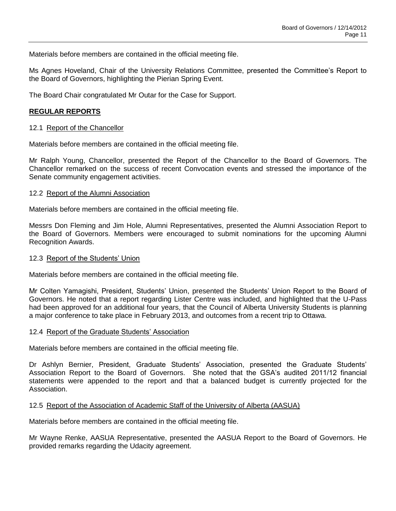Materials before members are contained in the official meeting file.

Ms Agnes Hoveland, Chair of the University Relations Committee, presented the Committee's Report to the Board of Governors, highlighting the Pierian Spring Event.

The Board Chair congratulated Mr Outar for the Case for Support.

## **REGULAR REPORTS**

### 12.1 Report of the Chancellor

Materials before members are contained in the official meeting file.

Mr Ralph Young, Chancellor, presented the Report of the Chancellor to the Board of Governors. The Chancellor remarked on the success of recent Convocation events and stressed the importance of the Senate community engagement activities.

### 12.2 Report of the Alumni Association

Materials before members are contained in the official meeting file.

Messrs Don Fleming and Jim Hole, Alumni Representatives, presented the Alumni Association Report to the Board of Governors. Members were encouraged to submit nominations for the upcoming Alumni Recognition Awards.

### 12.3 Report of the Students' Union

Materials before members are contained in the official meeting file.

Mr Colten Yamagishi, President, Students' Union, presented the Students' Union Report to the Board of Governors. He noted that a report regarding Lister Centre was included, and highlighted that the U-Pass had been approved for an additional four years, that the Council of Alberta University Students is planning a major conference to take place in February 2013, and outcomes from a recent trip to Ottawa.

#### 12.4 Report of the Graduate Students' Association

Materials before members are contained in the official meeting file.

Dr Ashlyn Bernier, President, Graduate Students' Association, presented the Graduate Students' Association Report to the Board of Governors. She noted that the GSA's audited 2011/12 financial statements were appended to the report and that a balanced budget is currently projected for the Association.

#### 12.5 Report of the Association of Academic Staff of the University of Alberta (AASUA)

Materials before members are contained in the official meeting file.

Mr Wayne Renke, AASUA Representative, presented the AASUA Report to the Board of Governors. He provided remarks regarding the Udacity agreement.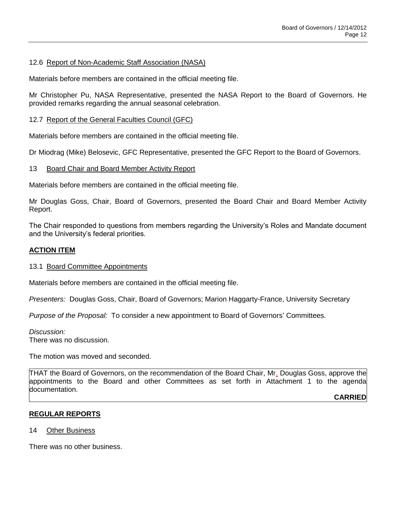## 12.6 Report of Non-Academic Staff Association (NASA)

Materials before members are contained in the official meeting file.

Mr Christopher Pu, NASA Representative, presented the NASA Report to the Board of Governors. He provided remarks regarding the annual seasonal celebration.

## 12.7 Report of the General Faculties Council (GFC)

Materials before members are contained in the official meeting file.

Dr Miodrag (Mike) Belosevic, GFC Representative, presented the GFC Report to the Board of Governors.

## 13 Board Chair and Board Member Activity Report

Materials before members are contained in the official meeting file.

Mr Douglas Goss, Chair, Board of Governors, presented the Board Chair and Board Member Activity Report.

The Chair responded to questions from members regarding the University's Roles and Mandate document and the University's federal priorities.

## **ACTION ITEM**

## 13.1 Board Committee Appointments

Materials before members are contained in the official meeting file.

*Presenters:* Douglas Goss, Chair, Board of Governors; Marion Haggarty-France, University Secretary

*Purpose of the Proposal:* To consider a new appointment to Board of Governors' Committees.

*Discussion:* There was no discussion.

The motion was moved and seconded.

THAT the Board of Governors, on the recommendation of the Board Chair, Mr. Douglas Goss, approve the appointments to the Board and other Committees as set forth in Attachment 1 to the agenda documentation.

**CARRIED**

## **REGULAR REPORTS**

14 Other Business

There was no other business.